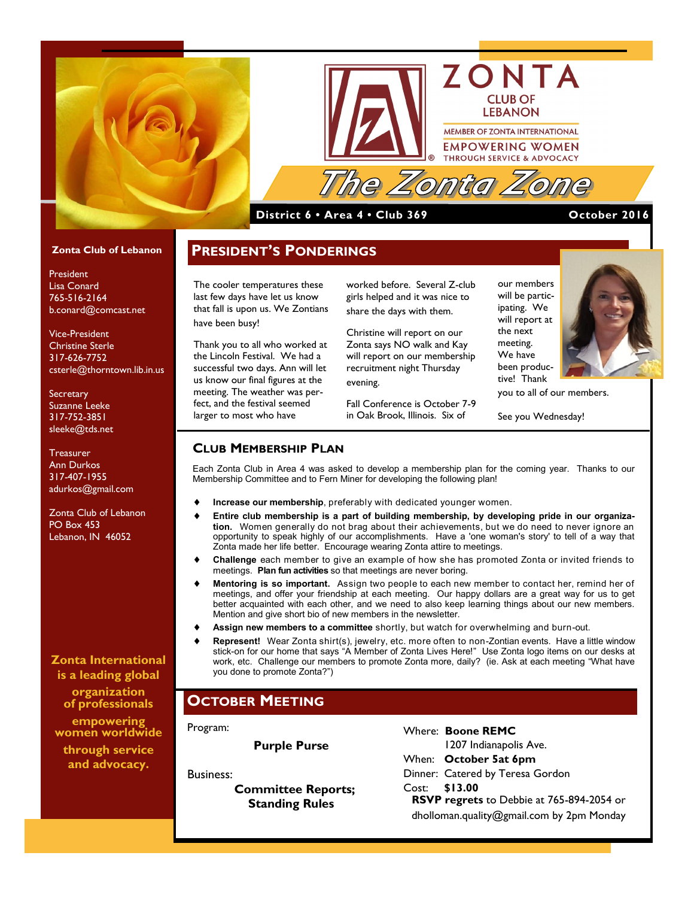



#### **District 6 • Area 4 • Club 369 October 2016**

#### **Zonta Club of Lebanon**

President Lisa Conard 765-516-2164 b.conard@comcast.net

Vice-President Christine Sterle 317-626-7752 csterle@thorntown.lib.in.us

**Secretary** Suzanne Leeke 317-752-3851 sleeke@tds.net

Treasurer Ann Durkos 317-407-1955 adurkos@gmail.com

Zonta Club of Lebanon PO Box 453 Lebanon, IN 46052

**Zonta International is a leading global organization of professionals** 

**empowering women worldwide through service and advocacy.**

**PRESIDENT'S PONDERINGS**

The cooler temperatures these last few days have let us know that fall is upon us. We Zontians have been busy!

Thank you to all who worked at the Lincoln Festival. We had a successful two days. Ann will let us know our final figures at the meeting. The weather was perfect, and the festival seemed larger to most who have

worked before. Several Z-club girls helped and it was nice to share the days with them.

Christine will report on our Zonta says NO walk and Kay will report on our membership recruitment night Thursday evening.

Fall Conference is October 7-9 in Oak Brook, Illinois. Six of

our members will be participating. We will report at the next meeting. We have been productive! Thank

you to all of our members.

ГА

See you Wednesday!

#### **CLUB MEMBERSHIP PLAN**

Each Zonta Club in Area 4 was asked to develop a membership plan for the coming year. Thanks to our Membership Committee and to Fern Miner for developing the following plan!

- **Increase our membership**, preferably with dedicated younger women.
- **Entire club membership is a part of building membership, by developing pride in our organization.** Women generally do not brag about their achievements, but we do need to never ignore an opportunity to speak highly of our accomplishments. Have a 'one woman's story' to tell of a way that Zonta made her life better. Encourage wearing Zonta attire to meetings.
- **Challenge** each member to give an example of how she has promoted Zonta or invited friends to meetings. **Plan fun activities** so that meetings are never boring.
- **Mentoring is so important.** Assign two people to each new member to contact her, remind her of meetings, and offer your friendship at each meeting. Our happy dollars are a great way for us to get better acquainted with each other, and we need to also keep learning things about our new members. Mention and give short bio of new members in the newsletter.
- **Assign new members to a committee** shortly, but watch for overwhelming and burn-out.
- **Represent!** Wear Zonta shirt(s), jewelry, etc. more often to non-Zontian events. Have a little window stick-on for our home that says "A Member of Zonta Lives Here!" Use Zonta logo items on our desks at work, etc. Challenge our members to promote Zonta more, daily? (ie. Ask at each meeting "What have you done to promote Zonta?")

### **OCTOBER MEETING**

Program:

**Purple Purse**

Business:

 **Committee Reports; Standing Rules**

Where: **Boone REMC** 1207 Indianapolis Ave. When: **October 5at 6pm** Dinner: Catered by Teresa Gordon Cost: **\$13.00 RSVP regrets** to Debbie at 765-894-2054 or dholloman.quality@gmail.com by 2pm Monday